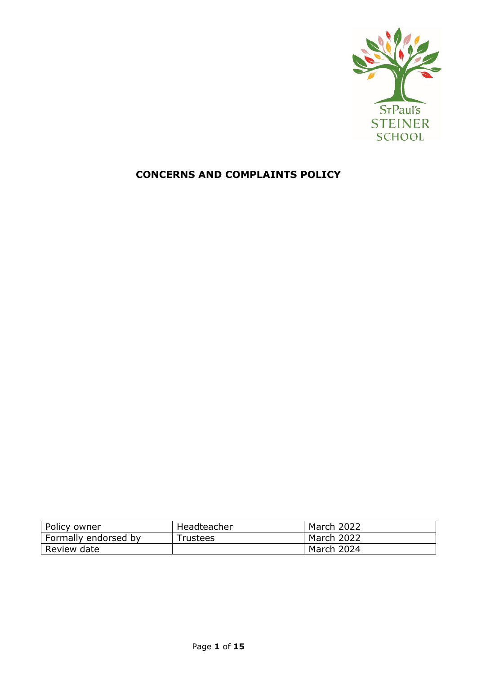

# **CONCERNS AND COMPLAINTS POLICY**

| Policy owner         | Headteacher | March 2022 |
|----------------------|-------------|------------|
| Formally endorsed by | Trustees    | March 2022 |
| Review date          |             | March 2024 |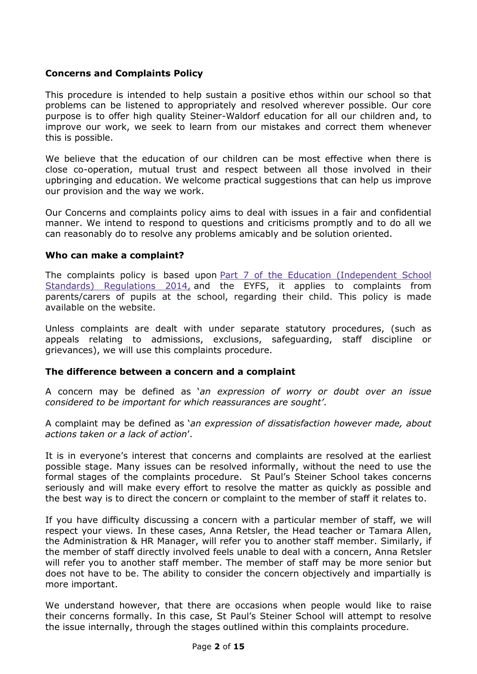#### **Concerns and Complaints Policy**

This procedure is intended to help sustain a positive ethos within our school so that problems can be listened to appropriately and resolved wherever possible. Our core purpose is to offer high quality Steiner-Waldorf education for all our children and, to improve our work, we seek to learn from our mistakes and correct them whenever this is possible.

We believe that the education of our children can be most effective when there is close co-operation, mutual trust and respect between all those involved in their upbringing and education. We welcome practical suggestions that can help us improve our provision and the way we work.

Our Concerns and complaints policy aims to deal with issues in a fair and confidential manner. We intend to respond to questions and criticisms promptly and to do all we can reasonably do to resolve any problems amicably and be solution oriented.

#### **Who can make a complaint?**

The complaints policy is based upon Part 7 of the Education (Independent School [Standards\) Regulations 2014,](http://www.legislation.gov.uk/uksi/2014/3283/schedule/made) and the EYFS, it applies to complaints from parents/carers of pupils at the school, regarding their child. This policy is made available on the website.

Unless complaints are dealt with under separate statutory procedures, (such as appeals relating to admissions, exclusions, safeguarding, staff discipline or grievances), we will use this complaints procedure.

#### **The difference between a concern and a complaint**

A concern may be defined as '*an expression of worry or doubt over an issue considered to be important for which reassurances are sought'*.

A complaint may be defined as '*an expression of dissatisfaction however made, about actions taken or a lack of action*'.

It is in everyone's interest that concerns and complaints are resolved at the earliest possible stage. Many issues can be resolved informally, without the need to use the formal stages of the complaints procedure. St Paul's Steiner School takes concerns seriously and will make every effort to resolve the matter as quickly as possible and the best way is to direct the concern or complaint to the member of staff it relates to.

If you have difficulty discussing a concern with a particular member of staff, we will respect your views. In these cases, Anna Retsler, the Head teacher or Tamara Allen, the Administration & HR Manager, will refer you to another staff member. Similarly, if the member of staff directly involved feels unable to deal with a concern, Anna Retsler will refer you to another staff member. The member of staff may be more senior but does not have to be. The ability to consider the concern objectively and impartially is more important.

We understand however, that there are occasions when people would like to raise their concerns formally. In this case, St Paul's Steiner School will attempt to resolve the issue internally, through the stages outlined within this complaints procedure.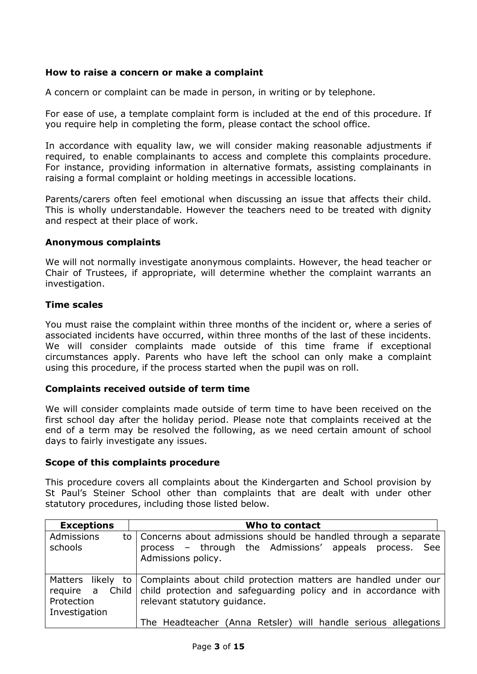#### **How to raise a concern or make a complaint**

A concern or complaint can be made in person, in writing or by telephone.

For ease of use, a template complaint form is included at the end of this procedure. If you require help in completing the form, please contact the school office.

In accordance with equality law, we will consider making reasonable adjustments if required, to enable complainants to access and complete this complaints procedure. For instance, providing information in alternative formats, assisting complainants in raising a formal complaint or holding meetings in accessible locations.

Parents/carers often feel emotional when discussing an issue that affects their child. This is wholly understandable. However the teachers need to be treated with dignity and respect at their place of work.

#### **Anonymous complaints**

We will not normally investigate anonymous complaints. However, the head teacher or Chair of Trustees, if appropriate, will determine whether the complaint warrants an investigation.

### **Time scales**

You must raise the complaint within three months of the incident or, where a series of associated incidents have occurred, within three months of the last of these incidents. We will consider complaints made outside of this time frame if exceptional circumstances apply. Parents who have left the school can only make a complaint using this procedure, if the process started when the pupil was on roll.

#### **Complaints received outside of term time**

We will consider complaints made outside of term time to have been received on the first school day after the holiday period. Please note that complaints received at the end of a term may be resolved the following, as we need certain amount of school days to fairly investigate any issues.

#### **Scope of this complaints procedure**

This procedure covers all complaints about the Kindergarten and School provision by St Paul's Steiner School other than complaints that are dealt with under other statutory procedures, including those listed below.

| <b>Exceptions</b>                              | Who to contact                                                                                                                                                                         |  |  |  |
|------------------------------------------------|----------------------------------------------------------------------------------------------------------------------------------------------------------------------------------------|--|--|--|
| Admissions<br>schools                          | to   Concerns about admissions should be handled through a separate<br>process – through the Admissions' appeals process.<br>See<br>Admissions policy.                                 |  |  |  |
| require a Child<br>Protection<br>Investigation | Matters likely to   Complaints about child protection matters are handled under our<br>child protection and safeguarding policy and in accordance with<br>relevant statutory quidance. |  |  |  |
|                                                | The Headteacher (Anna Retsler) will handle serious allegations                                                                                                                         |  |  |  |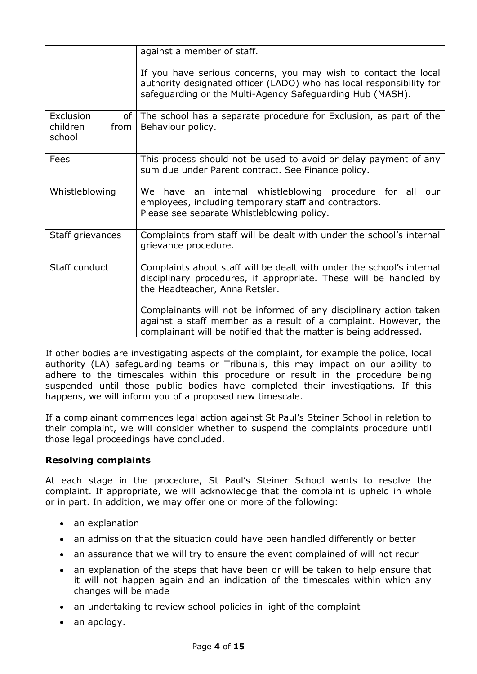|                                                | against a member of staff.                                                                                                                                                                                |  |  |  |
|------------------------------------------------|-----------------------------------------------------------------------------------------------------------------------------------------------------------------------------------------------------------|--|--|--|
|                                                | If you have serious concerns, you may wish to contact the local<br>authority designated officer (LADO) who has local responsibility for<br>safeguarding or the Multi-Agency Safeguarding Hub (MASH).      |  |  |  |
| <b>Exclusion</b><br>children<br>from<br>school | of The school has a separate procedure for Exclusion, as part of the<br>Behaviour policy.                                                                                                                 |  |  |  |
| Fees                                           | This process should not be used to avoid or delay payment of any<br>sum due under Parent contract. See Finance policy.                                                                                    |  |  |  |
| Whistleblowing                                 | We have an internal whistleblowing procedure for all<br>our<br>employees, including temporary staff and contractors.<br>Please see separate Whistleblowing policy.                                        |  |  |  |
| Staff grievances                               | Complaints from staff will be dealt with under the school's internal<br>grievance procedure.                                                                                                              |  |  |  |
| Staff conduct                                  | Complaints about staff will be dealt with under the school's internal<br>disciplinary procedures, if appropriate. These will be handled by<br>the Headteacher, Anna Retsler.                              |  |  |  |
|                                                | Complainants will not be informed of any disciplinary action taken<br>against a staff member as a result of a complaint. However, the<br>complainant will be notified that the matter is being addressed. |  |  |  |

If other bodies are investigating aspects of the complaint, for example the police, local authority (LA) safeguarding teams or Tribunals, this may impact on our ability to adhere to the timescales within this procedure or result in the procedure being suspended until those public bodies have completed their investigations. If this happens, we will inform you of a proposed new timescale.

If a complainant commences legal action against St Paul's Steiner School in relation to their complaint, we will consider whether to suspend the complaints procedure until those legal proceedings have concluded.

#### **Resolving complaints**

At each stage in the procedure, St Paul's Steiner School wants to resolve the complaint. If appropriate, we will acknowledge that the complaint is upheld in whole or in part. In addition, we may offer one or more of the following:

- an explanation
- an admission that the situation could have been handled differently or better
- an assurance that we will try to ensure the event complained of will not recur
- an explanation of the steps that have been or will be taken to help ensure that it will not happen again and an indication of the timescales within which any changes will be made
- an undertaking to review school policies in light of the complaint
- an apology.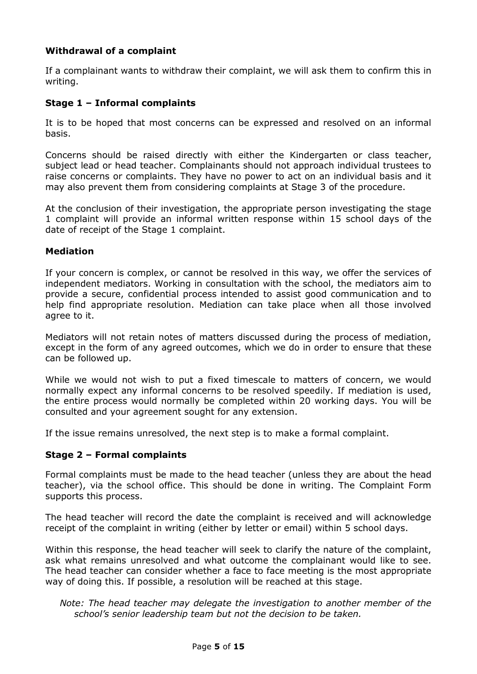### **Withdrawal of a complaint**

If a complainant wants to withdraw their complaint, we will ask them to confirm this in writing.

#### **Stage 1 – Informal complaints**

It is to be hoped that most concerns can be expressed and resolved on an informal basis.

Concerns should be raised directly with either the Kindergarten or class teacher, subject lead or head teacher. Complainants should not approach individual trustees to raise concerns or complaints. They have no power to act on an individual basis and it may also prevent them from considering complaints at Stage 3 of the procedure.

At the conclusion of their investigation, the appropriate person investigating the stage 1 complaint will provide an informal written response within 15 school days of the date of receipt of the Stage 1 complaint.

#### **Mediation**

If your concern is complex, or cannot be resolved in this way, we offer the services of independent mediators. Working in consultation with the school, the mediators aim to provide a secure, confidential process intended to assist good communication and to help find appropriate resolution. Mediation can take place when all those involved agree to it.

Mediators will not retain notes of matters discussed during the process of mediation, except in the form of any agreed outcomes, which we do in order to ensure that these can be followed up.

While we would not wish to put a fixed timescale to matters of concern, we would normally expect any informal concerns to be resolved speedily. If mediation is used, the entire process would normally be completed within 20 working days. You will be consulted and your agreement sought for any extension.

If the issue remains unresolved, the next step is to make a formal complaint.

#### **Stage 2 – Formal complaints**

Formal complaints must be made to the head teacher (unless they are about the head teacher), via the school office. This should be done in writing. The Complaint Form supports this process.

The head teacher will record the date the complaint is received and will acknowledge receipt of the complaint in writing (either by letter or email) within 5 school days.

Within this response, the head teacher will seek to clarify the nature of the complaint, ask what remains unresolved and what outcome the complainant would like to see. The head teacher can consider whether a face to face meeting is the most appropriate way of doing this. If possible, a resolution will be reached at this stage.

*Note: The head teacher may delegate the investigation to another member of the school's senior leadership team but not the decision to be taken.*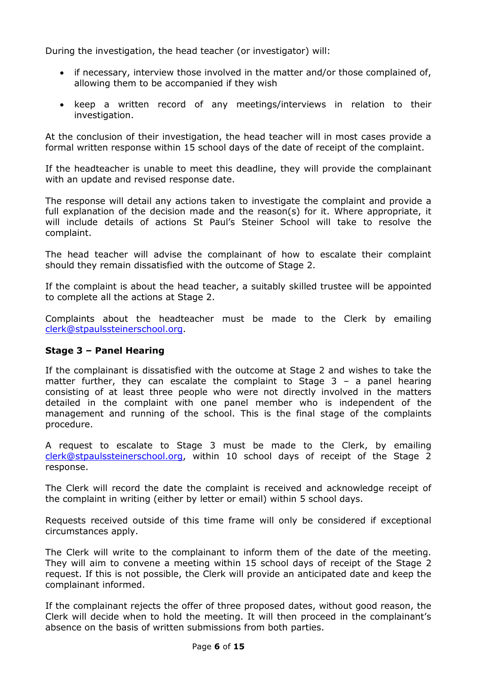During the investigation, the head teacher (or investigator) will:

- if necessary, interview those involved in the matter and/or those complained of, allowing them to be accompanied if they wish
- keep a written record of any meetings/interviews in relation to their investigation.

At the conclusion of their investigation, the head teacher will in most cases provide a formal written response within 15 school days of the date of receipt of the complaint.

If the headteacher is unable to meet this deadline, they will provide the complainant with an update and revised response date.

The response will detail any actions taken to investigate the complaint and provide a full explanation of the decision made and the reason(s) for it. Where appropriate, it will include details of actions St Paul's Steiner School will take to resolve the complaint.

The head teacher will advise the complainant of how to escalate their complaint should they remain dissatisfied with the outcome of Stage 2.

If the complaint is about the head teacher, a suitably skilled trustee will be appointed to complete all the actions at Stage 2.

Complaints about the headteacher must be made to the Clerk by emailing [clerk@stpaulssteinerschool.org.](mailto:clerk@stpaulssteinerschool.org)

#### **Stage 3 – Panel Hearing**

If the complainant is dissatisfied with the outcome at Stage 2 and wishes to take the matter further, they can escalate the complaint to Stage 3 – a panel hearing consisting of at least three people who were not directly involved in the matters detailed in the complaint with one panel member who is independent of the management and running of the school. This is the final stage of the complaints procedure.

A request to escalate to Stage 3 must be made to the Clerk, by emailing [clerk@stpaulssteinerschool.org,](mailto:clerk@stpaulssteinerschool.org) within 10 school days of receipt of the Stage 2 response.

The Clerk will record the date the complaint is received and acknowledge receipt of the complaint in writing (either by letter or email) within 5 school days.

Requests received outside of this time frame will only be considered if exceptional circumstances apply.

The Clerk will write to the complainant to inform them of the date of the meeting. They will aim to convene a meeting within 15 school days of receipt of the Stage 2 request. If this is not possible, the Clerk will provide an anticipated date and keep the complainant informed.

If the complainant rejects the offer of three proposed dates, without good reason, the Clerk will decide when to hold the meeting. It will then proceed in the complainant's absence on the basis of written submissions from both parties.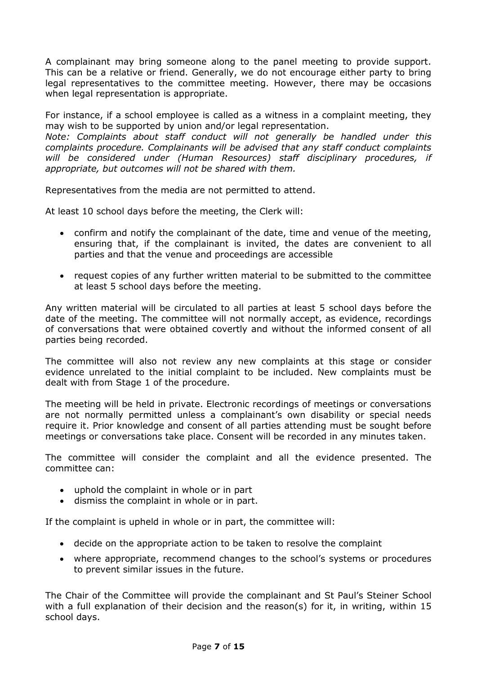A complainant may bring someone along to the panel meeting to provide support. This can be a relative or friend. Generally, we do not encourage either party to bring legal representatives to the committee meeting. However, there may be occasions when legal representation is appropriate.

For instance, if a school employee is called as a witness in a complaint meeting, they may wish to be supported by union and/or legal representation.

*Note: Complaints about staff conduct will not generally be handled under this complaints procedure. Complainants will be advised that any staff conduct complaints will be considered under (Human Resources) staff disciplinary procedures, if appropriate, but outcomes will not be shared with them.* 

Representatives from the media are not permitted to attend.

At least 10 school days before the meeting, the Clerk will:

- confirm and notify the complainant of the date, time and venue of the meeting, ensuring that, if the complainant is invited, the dates are convenient to all parties and that the venue and proceedings are accessible
- request copies of any further written material to be submitted to the committee at least 5 school days before the meeting.

Any written material will be circulated to all parties at least 5 school days before the date of the meeting. The committee will not normally accept, as evidence, recordings of conversations that were obtained covertly and without the informed consent of all parties being recorded.

The committee will also not review any new complaints at this stage or consider evidence unrelated to the initial complaint to be included. New complaints must be dealt with from Stage 1 of the procedure.

The meeting will be held in private. Electronic recordings of meetings or conversations are not normally permitted unless a complainant's own disability or special needs require it. Prior knowledge and consent of all parties attending must be sought before meetings or conversations take place. Consent will be recorded in any minutes taken.

The committee will consider the complaint and all the evidence presented. The committee can:

- uphold the complaint in whole or in part
- dismiss the complaint in whole or in part.

If the complaint is upheld in whole or in part, the committee will:

- decide on the appropriate action to be taken to resolve the complaint
- where appropriate, recommend changes to the school's systems or procedures to prevent similar issues in the future.

The Chair of the Committee will provide the complainant and St Paul's Steiner School with a full explanation of their decision and the reason(s) for it, in writing, within 15 school days.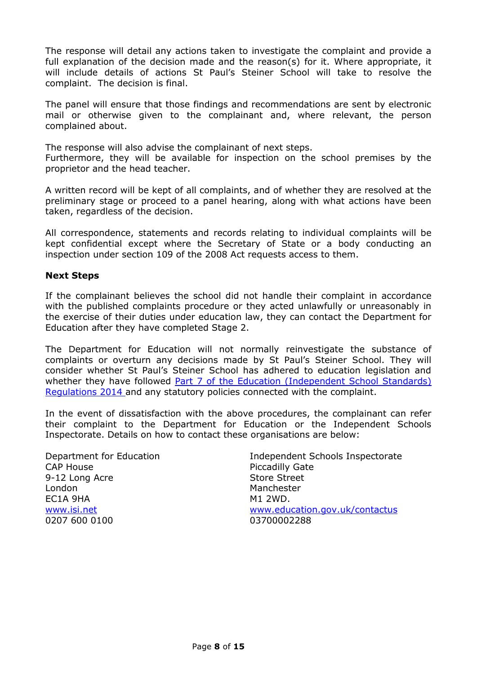The response will detail any actions taken to investigate the complaint and provide a full explanation of the decision made and the reason(s) for it. Where appropriate, it will include details of actions St Paul's Steiner School will take to resolve the complaint. The decision is final.

The panel will ensure that those findings and recommendations are sent by electronic mail or otherwise given to the complainant and, where relevant, the person complained about.

The response will also advise the complainant of next steps.

Furthermore, they will be available for inspection on the school premises by the proprietor and the head teacher.

A written record will be kept of all complaints, and of whether they are resolved at the preliminary stage or proceed to a panel hearing, along with what actions have been taken, regardless of the decision.

All correspondence, statements and records relating to individual complaints will be kept confidential except where the Secretary of State or a body conducting an inspection under section 109 of the 2008 Act requests access to them.

#### **Next Steps**

If the complainant believes the school did not handle their complaint in accordance with the published complaints procedure or they acted unlawfully or unreasonably in the exercise of their duties under education law, they can contact the Department for Education after they have completed Stage 2.

The Department for Education will not normally reinvestigate the substance of complaints or overturn any decisions made by St Paul's Steiner School. They will consider whether St Paul's Steiner School has adhered to education legislation and whether they have followed Part 7 of the Education (Independent School Standards) [Regulations 2014](http://www.legislation.gov.uk/uksi/2010/1997/schedule/1/made) and any statutory policies connected with the complaint.

In the event of dissatisfaction with the above procedures, the complainant can refer their complaint to the Department for Education or the Independent Schools Inspectorate. Details on how to contact these organisations are below:

Department for Education CAP House 9-12 Long Acre London EC1A 9HA [www.isi.net](http://www.isi.net/) 0207 600 0100

Independent Schools Inspectorate Piccadilly Gate Store Street Manchester M1 2WD. [www.education.gov.uk/contactus](http://www.education.gov.uk/contactus) 03700002288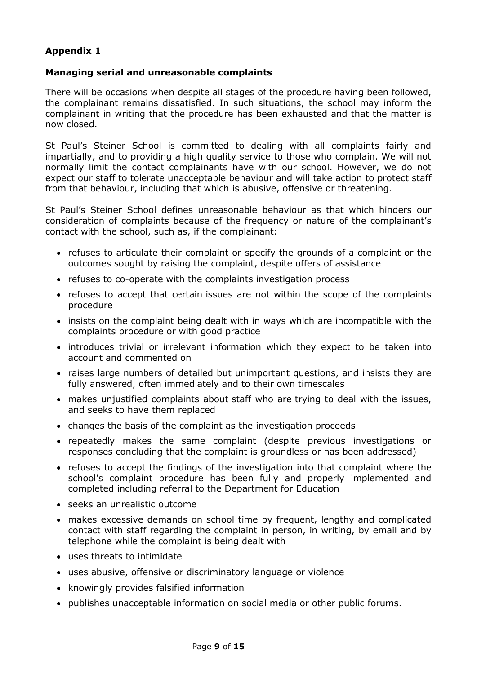## **Appendix 1**

#### **Managing serial and unreasonable complaints**

There will be occasions when despite all stages of the procedure having been followed, the complainant remains dissatisfied. In such situations, the school may inform the complainant in writing that the procedure has been exhausted and that the matter is now closed.

St Paul's Steiner School is committed to dealing with all complaints fairly and impartially, and to providing a high quality service to those who complain. We will not normally limit the contact complainants have with our school. However, we do not expect our staff to tolerate unacceptable behaviour and will take action to protect staff from that behaviour, including that which is abusive, offensive or threatening.

St Paul's Steiner School defines unreasonable behaviour as that which hinders our consideration of complaints because of the frequency or nature of the complainant's contact with the school, such as, if the complainant:

- refuses to articulate their complaint or specify the grounds of a complaint or the outcomes sought by raising the complaint, despite offers of assistance
- refuses to co-operate with the complaints investigation process
- refuses to accept that certain issues are not within the scope of the complaints procedure
- insists on the complaint being dealt with in ways which are incompatible with the complaints procedure or with good practice
- introduces trivial or irrelevant information which they expect to be taken into account and commented on
- raises large numbers of detailed but unimportant questions, and insists they are fully answered, often immediately and to their own timescales
- makes unjustified complaints about staff who are trying to deal with the issues, and seeks to have them replaced
- changes the basis of the complaint as the investigation proceeds
- repeatedly makes the same complaint (despite previous investigations or responses concluding that the complaint is groundless or has been addressed)
- refuses to accept the findings of the investigation into that complaint where the school's complaint procedure has been fully and properly implemented and completed including referral to the Department for Education
- seeks an unrealistic outcome
- makes excessive demands on school time by frequent, lengthy and complicated contact with staff regarding the complaint in person, in writing, by email and by telephone while the complaint is being dealt with
- uses threats to intimidate
- uses abusive, offensive or discriminatory language or violence
- knowingly provides falsified information
- publishes unacceptable information on social media or other public forums.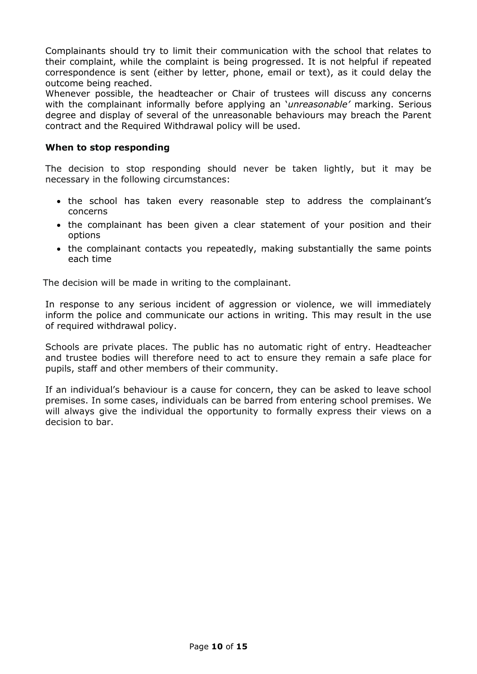Complainants should try to limit their communication with the school that relates to their complaint, while the complaint is being progressed. It is not helpful if repeated correspondence is sent (either by letter, phone, email or text), as it could delay the outcome being reached.

Whenever possible, the headteacher or Chair of trustees will discuss any concerns with the complainant informally before applying an '*unreasonable'* marking. Serious degree and display of several of the unreasonable behaviours may breach the Parent contract and the Required Withdrawal policy will be used.

#### **When to stop responding**

The decision to stop responding should never be taken lightly, but it may be necessary in the following circumstances:

- the school has taken every reasonable step to address the complainant's concerns
- the complainant has been given a clear statement of your position and their options
- the complainant contacts you repeatedly, making substantially the same points each time

The decision will be made in writing to the complainant.

In response to any serious incident of aggression or violence, we will immediately inform the police and communicate our actions in writing. This may result in the use of required withdrawal policy.

Schools are private places. The public has no automatic right of entry. Headteacher and trustee bodies will therefore need to act to ensure they remain a safe place for pupils, staff and other members of their community.

If an individual's behaviour is a cause for concern, they can be asked to leave school premises. In some cases, individuals can be barred from entering school premises. We will always give the individual the opportunity to formally express their views on a decision to bar.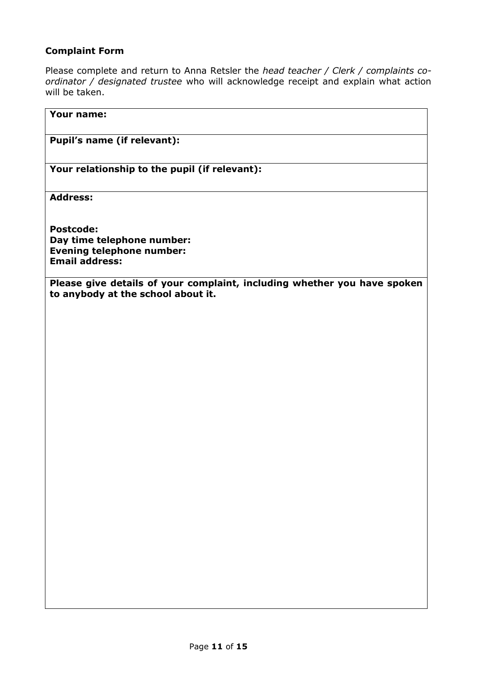## **Complaint Form**

Please complete and return to Anna Retsler the *head teacher / Clerk / complaints coordinator / designated trustee* who will acknowledge receipt and explain what action will be taken.

| <b>Your name:</b>                                                                                              |
|----------------------------------------------------------------------------------------------------------------|
| Pupil's name (if relevant):                                                                                    |
| Your relationship to the pupil (if relevant):                                                                  |
| <b>Address:</b>                                                                                                |
| <b>Postcode:</b><br>Day time telephone number:<br><b>Evening telephone number:</b><br><b>Email address:</b>    |
| Please give details of your complaint, including whether you have spoken<br>to anybody at the school about it. |
|                                                                                                                |
|                                                                                                                |
|                                                                                                                |
|                                                                                                                |
|                                                                                                                |
|                                                                                                                |
|                                                                                                                |
|                                                                                                                |
|                                                                                                                |
|                                                                                                                |
|                                                                                                                |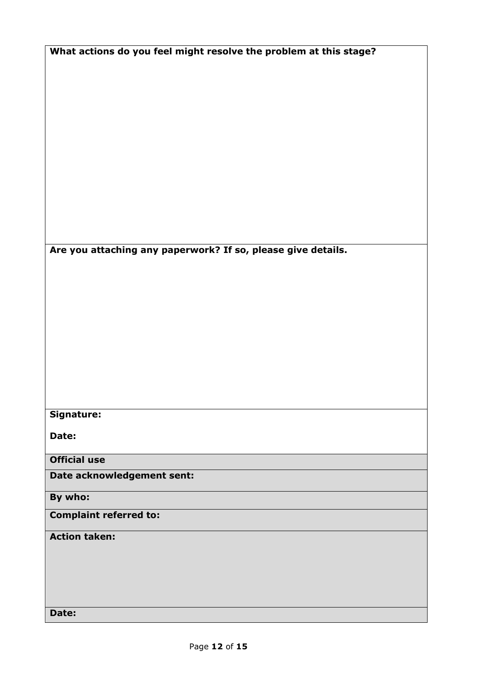| What actions do you feel might resolve the problem at this stage? |  |  |  |  |
|-------------------------------------------------------------------|--|--|--|--|
|-------------------------------------------------------------------|--|--|--|--|

**Are you attaching any paperwork? If so, please give details.**

## **Signature:**

**Date:**

**Official use**

**Date acknowledgement sent:**

## **By who:**

## **Complaint referred to:**

### **Action taken:**

**Date:**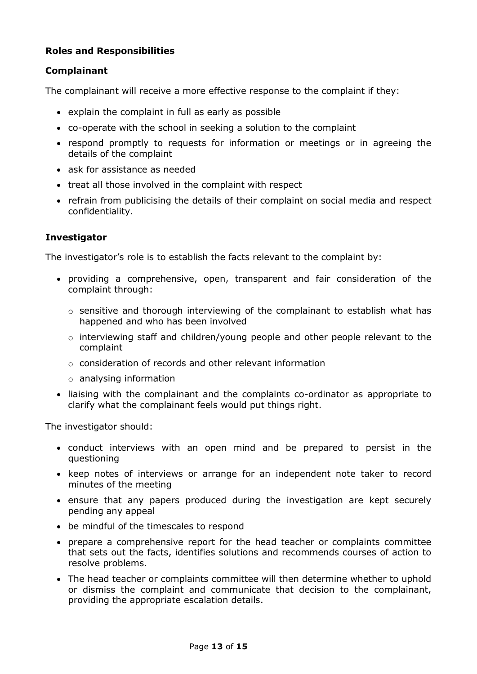## **Roles and Responsibilities**

#### **Complainant**

The complainant will receive a more effective response to the complaint if they:

- explain the complaint in full as early as possible
- co-operate with the school in seeking a solution to the complaint
- respond promptly to requests for information or meetings or in agreeing the details of the complaint
- ask for assistance as needed
- treat all those involved in the complaint with respect
- refrain from publicising the details of their complaint on social media and respect confidentiality.

#### **Investigator**

The investigator's role is to establish the facts relevant to the complaint by:

- providing a comprehensive, open, transparent and fair consideration of the complaint through:
	- o sensitive and thorough interviewing of the complainant to establish what has happened and who has been involved
	- o interviewing staff and children/young people and other people relevant to the complaint
	- o consideration of records and other relevant information
	- o analysing information
- liaising with the complainant and the complaints co-ordinator as appropriate to clarify what the complainant feels would put things right.

The investigator should:

- conduct interviews with an open mind and be prepared to persist in the questioning
- keep notes of interviews or arrange for an independent note taker to record minutes of the meeting
- ensure that any papers produced during the investigation are kept securely pending any appeal
- be mindful of the timescales to respond
- prepare a comprehensive report for the head teacher or complaints committee that sets out the facts, identifies solutions and recommends courses of action to resolve problems.
- The head teacher or complaints committee will then determine whether to uphold or dismiss the complaint and communicate that decision to the complainant, providing the appropriate escalation details.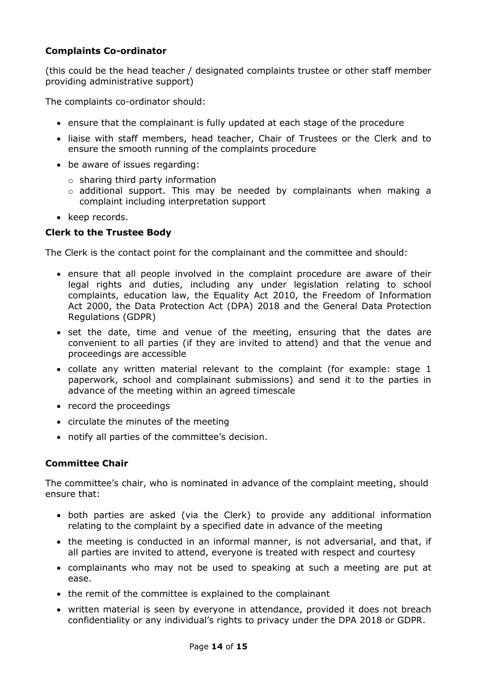## **Complaints Co-ordinator**

(this could be the head teacher / designated complaints trustee or other staff member providing administrative support)

The complaints co-ordinator should:

- ensure that the complainant is fully updated at each stage of the procedure
- liaise with staff members, head teacher, Chair of Trustees or the Clerk and to ensure the smooth running of the complaints procedure
- be aware of issues regarding:
	- $\circ$  sharing third party information
	- $\circ$  additional support. This may be needed by complainants when making a complaint including interpretation support
- keep records.

## **Clerk to the Trustee Body**

The Clerk is the contact point for the complainant and the committee and should:

- ensure that all people involved in the complaint procedure are aware of their legal rights and duties, including any under legislation relating to school complaints, education law, the Equality Act 2010, the Freedom of Information Act 2000, the Data Protection Act (DPA) 2018 and the General Data Protection Regulations (GDPR)
- set the date, time and venue of the meeting, ensuring that the dates are convenient to all parties (if they are invited to attend) and that the venue and proceedings are accessible
- collate any written material relevant to the complaint (for example: stage 1 paperwork, school and complainant submissions) and send it to the parties in advance of the meeting within an agreed timescale
- record the proceedings
- circulate the minutes of the meeting
- notify all parties of the committee's decision.

## **Committee Chair**

The committee's chair, who is nominated in advance of the complaint meeting, should ensure that:

- both parties are asked (via the Clerk) to provide any additional information relating to the complaint by a specified date in advance of the meeting
- the meeting is conducted in an informal manner, is not adversarial, and that, if all parties are invited to attend, everyone is treated with respect and courtesy
- complainants who may not be used to speaking at such a meeting are put at ease.
- the remit of the committee is explained to the complainant
- written material is seen by everyone in attendance, provided it does not breach confidentiality or any individual's rights to privacy under the DPA 2018 or GDPR.